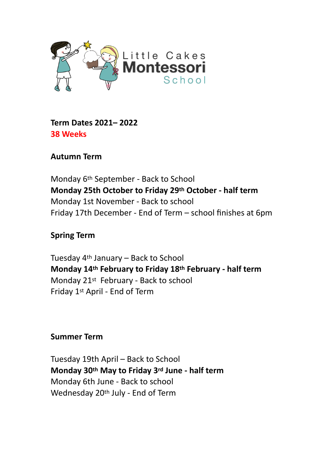

**Term Dates 2021– 2022 38 Weeks**

**Autumn Term**

Monday 6th September - Back to School **Monday 25th October to Friday 29th October - half term** Monday 1st November - Back to school Friday 17th December - End of Term – school finishes at 6pm

**Spring Term**

Tuesday 4th January – Back to School **Monday 14th February to Friday 18th February - half term** Monday 21st February - Back to school Friday 1st April - End of Term

# **Summer Term**

Tuesday 19th April – Back to School **Monday 30th May to Friday 3rd June - half term** Monday 6th June - Back to school Wednesday 20th July - End of Term